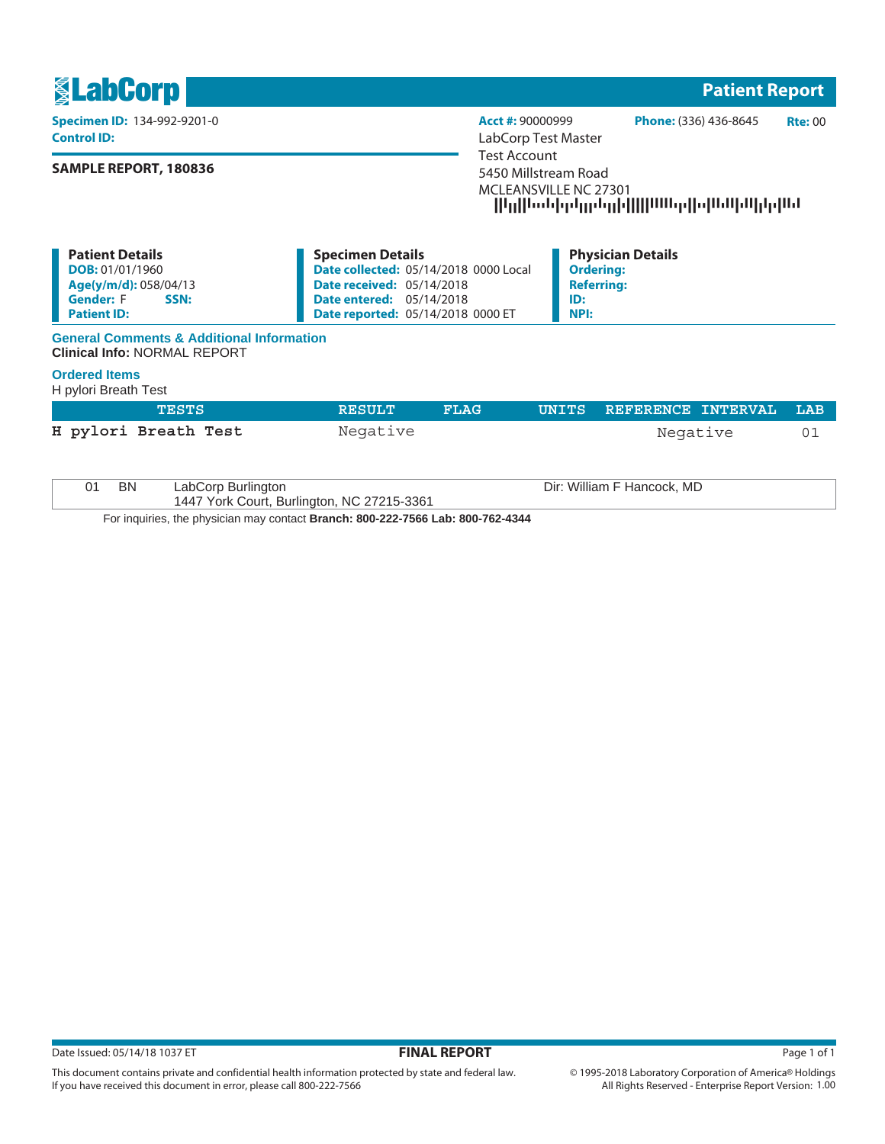

| <b>Patient Details</b>   | <b>Specimen Details</b>                      | <b>Physician Details</b> |
|--------------------------|----------------------------------------------|--------------------------|
| <b>DOB:</b> 01/01/1960   | <b>Date collected: 05/14/2018 0000 Local</b> | <b>Ordering:</b>         |
| Age(y/m/d): 058/04/13    | <b>Date received: 05/14/2018</b>             | Referrina:               |
| <b>Gender:</b> F<br>SSN: | <b>Date entered: 05/14/2018</b>              | ID:                      |
| <b>Patient ID:</b>       | <b>Date reported: 05/14/2018 0000 ET</b>     | `NPI:                    |

## **General Comments & Additional Information Clinical Info:** NORMAL REPORT

## **Ordered Items**

H pylori Breath Test

| TESTS                | <b>RESULT</b> | FLAG. | UNITS REFERENCE INTERVAL LAB |  |
|----------------------|---------------|-------|------------------------------|--|
| H pylori Breath Test | Negative      |       | Negative                     |  |
|                      |               |       |                              |  |

| BN                                                                            | LabCorp Burlington                         | Dir: William F Hancock, MD |  |
|-------------------------------------------------------------------------------|--------------------------------------------|----------------------------|--|
|                                                                               | 1447 York Court, Burlington, NC 27215-3361 |                            |  |
| Factorization the christian processed through: 000,000 7500 Leb: 000 700,4044 |                                            |                            |  |

For inquiries, the physician may contact **Branch: 800-222-7566 Lab: 800-762-4344**

This document contains private and confidential health information protected by state and federal law.

If you have received this document in error, please call 800-222-7566